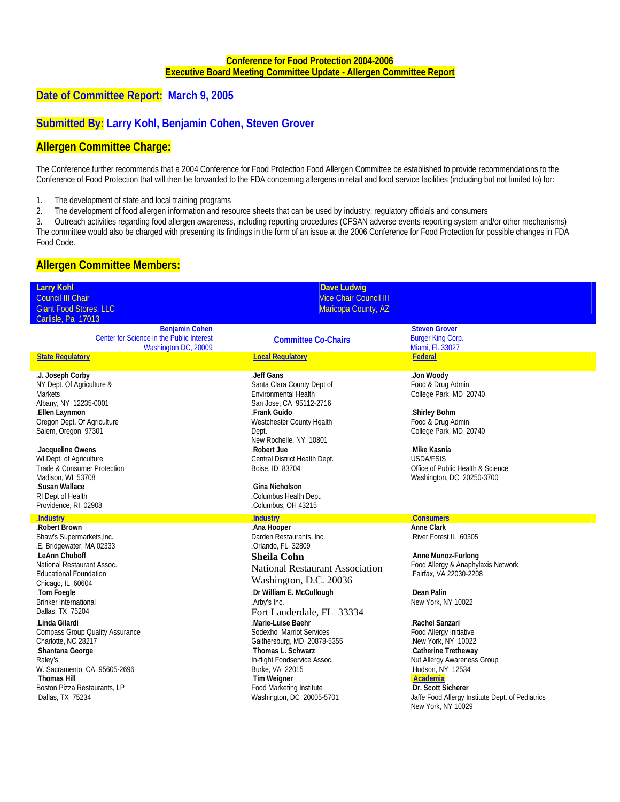#### **Conference for Food Protection 2004-2006**  <sup>U</sup>**Executive Board Meeting Committee Update - Allergen Committee Report**

# **Date of Committee Report: March 9, 2005**

## **Submitted By: Larry Kohl, Benjamin Cohen, Steven Grover**

### **Allergen Committee Charge:**

The Conference further recommends that a 2004 Conference for Food Protection Food Allergen Committee be established to provide recommendations to the Conference of Food Protection that will then be forwarded to the FDA concerning allergens in retail and food service facilities (including but not limited to) for:

1. The development of state and local training programs

2. The development of food allergen information and resource sheets that can be used by industry, regulatory officials and consumers

3. Outreach activities regarding food allergen awareness, including reporting procedures (CFSAN adverse events reporting system and/or other mechanisms) The committee would also be charged with presenting its findings in the form of an issue at the 2006 Conference for Food Protection for possible changes in FDA Food Code.

### **Allergen Committee Members:**

| <b>Larry Kohl</b>                                              | <b>Dave Ludwig</b>                                                     |                                                                                              |
|----------------------------------------------------------------|------------------------------------------------------------------------|----------------------------------------------------------------------------------------------|
| Council III Chair                                              | <b>Vice Chair Council III</b>                                          |                                                                                              |
| <b>Giant Food Stores, LLC</b>                                  | Maricopa County, AZ                                                    |                                                                                              |
| Carlisle, Pa 17013                                             |                                                                        |                                                                                              |
| Benjamin Cohen                                                 |                                                                        | <b>Steven Grover</b>                                                                         |
| Center for Science in the Public Interest                      | <b>Committee Co-Chairs</b>                                             | <b>Burger King Corp.</b>                                                                     |
| Washington DC, 20009                                           |                                                                        | Miami, Fl. 33027                                                                             |
| <b>State Regulatory</b>                                        | <b>Local Requiatory</b>                                                | Federal                                                                                      |
| J. Joseph Corby<br>NY Dept. Of Agriculture &<br><b>Markets</b> | Jeff Gans<br>Santa Clara County Dept of<br>Environmental Health        | Jon Woody<br>Food & Drug Admin.<br>College Park, MD 20740                                    |
| Albany, NY 12235-0001<br>.Ellen Laynmon                        | San Jose, CA 95112-2716<br>Frank Guido                                 | Shirley Bohm                                                                                 |
| Oregon Dept. Of Agriculture<br>Salem, Oregon 97301             | Westchester County Health<br>Dept.                                     | Food & Drug Admin.<br>College Park, MD 20740                                                 |
| Jacqueline Owens<br>WI Dept. of Agriculture                    | New Rochelle, NY 10801<br>.Robert Jue<br>Central District Health Dept. | Mike Kasnia<br><b>USDA/FSIS</b>                                                              |
| Trade & Consumer Protection<br>Madison, WI 53708               | Boise, ID 83704                                                        | Office of Public Health & Science<br>Washington, DC 20250-3700                               |
| Susan Wallace<br>RI Dept of Health                             | Gina Nicholson<br>.Columbus Health Dept.                               |                                                                                              |
| Providence, RI 02908                                           | Columbus, OH 43215                                                     |                                                                                              |
|                                                                |                                                                        |                                                                                              |
|                                                                |                                                                        |                                                                                              |
| <b>Industry</b><br>Robert Brown<br>Shaw's Supermarkets, Inc.   | <b>Industry</b><br>Ana Hooper<br>Darden Restaurants, Inc.              | <b>Consumers</b><br><b>Anne Clark</b><br>River Forest IL 60305                               |
| .E. Bridgewater, MA 02333<br>LeAnn Chuboff                     | -Orlando, FL 32809                                                     | Anne Munoz-Furlong                                                                           |
| National Restaurant Assoc.                                     | <b>Sheila Cohn</b>                                                     | Food Allergy & Anaphylaxis Network                                                           |
| <b>Educational Foundation</b>                                  | <b>National Restaurant Association</b><br>Washington, D.C. 20036       | Fairfax, VA 22030-2208                                                                       |
| Chicago, IL 60604<br>Tom Foegle                                | .Dr William E. McCullough                                              | Dean Palin                                                                                   |
| <b>Brinker International</b><br>Dallas, TX 75204               | Arby's Inc.                                                            | New York, NY 10022                                                                           |
| Linda Gilardi.                                                 | Fort Lauderdale, FL 33334<br>Marie-Luise Baehr                         | Rachel Sanzari                                                                               |
| <b>Compass Group Quality Assurance</b>                         | Sodexho Marriot Services                                               | Food Allergy Initiative                                                                      |
| Charlotte, NC 28217                                            | Gaithersburg, MD 20878-5355                                            | New York, NY 10022                                                                           |
| Shantana George                                                | Thomas L. Schwarz                                                      | Catherine Tretheway                                                                          |
| Raley's                                                        | In-flight Foodservice Assoc.                                           | Nut Allergy Awareness Group                                                                  |
| W. Sacramento, CA 95605-2696                                   | Burke, VA 22015                                                        | Hudson, NY 12534                                                                             |
| Thomas Hill.                                                   | Tim Weigner                                                            | Academia                                                                                     |
| Boston Pizza Restaurants, LP<br>Dallas, TX 75234               | Food Marketing Institute<br>Washington, DC 20005-5701                  | Dr. Scott Sicherer<br>Jaffe Food Allergy Institute Dept. of Pediatrics<br>New York, NY 10029 |